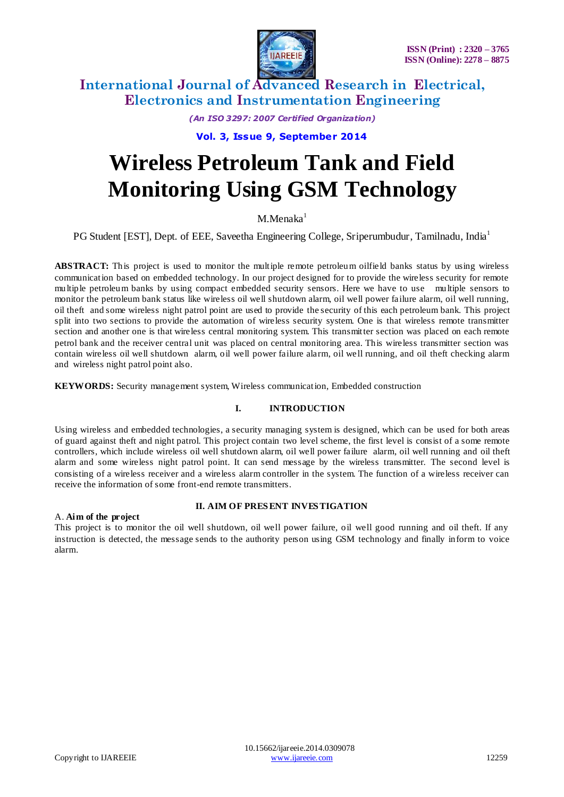

*(An ISO 3297: 2007 Certified Organization)*

**Vol. 3, Issue 9, September 2014**

# **Wireless Petroleum Tank and Field Monitoring Using GSM Technology**

 $M$ Menaka $<sup>1</sup>$ </sup>

PG Student [EST], Dept. of EEE, Saveetha Engineering College, Sriperumbudur, Tamilnadu, India<sup>1</sup>

**ABSTRACT:** This project is used to monitor the multiple remote petroleum oilfield banks status by using wireless communication based on embedded technology. In our project designed for to provide the wireless security for remote multiple petroleum banks by using compact embedded security sensors. Here we have to use multiple sensors to monitor the petroleum bank status like wireless oil well shutdown alarm, oil well power failure alarm, oil well running, oil theft and some wireless night patrol point are used to provide the security of this each petroleum bank. This project split into two sections to provide the automation of wireless security system. One is that wireless remote transmitter section and another one is that wireless central monitoring system. This transmitter section was placed on each remote petrol bank and the receiver central unit was placed on central monitoring area. This wireless transmitter section was contain wireless oil well shutdown alarm, oil well power failure alarm, oil well running, and oil theft checking alarm and wireless night patrol point also.

**KEYWORDS:** Security management system, Wireless communication, Embedded construction

# **I. INTRODUCTION**

Using wireless and embedded technologies, a security managing system is designed, which can be used for both areas of guard against theft and night patrol. This project contain two level scheme, the first level is consist of a some remote controllers, which include wireless oil well shutdown alarm, oil well power failure alarm, oil well running and oil theft alarm and some wireless night patrol point. It can send message by the wireless transmitter. The second level is consisting of a wireless receiver and a wireless alarm controller in the system. The function of a wireless receiver can receive the information of some front-end remote transmitters.

## A. **Aim of the project**

## **II. AIM OF PRES ENT INVES TIGATION**

This project is to monitor the oil well shutdown, oil well power failure, oil well good running and oil theft. If any instruction is detected, the message sends to the authority person using GSM technology and finally inform to voice alarm.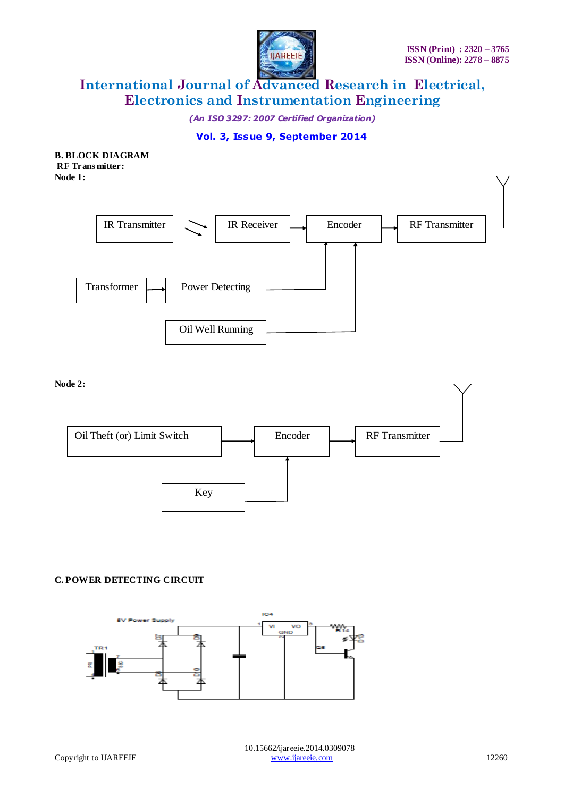

*(An ISO 3297: 2007 Certified Organization)*

# **Vol. 3, Issue 9, September 2014**

**B. BLOCK DIAGRAM RF Trans mitter: Node 1:**



**Node 2:**



# **C. POWER DETECTING CIRCUIT**

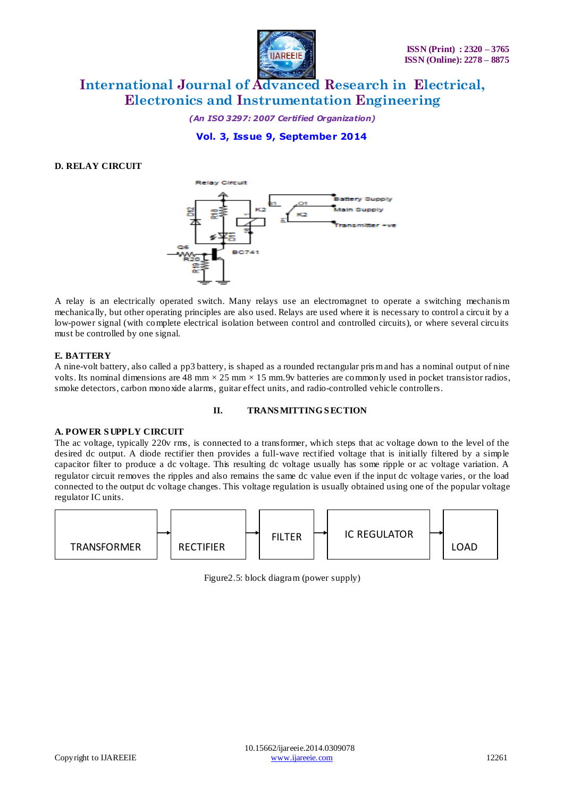

*(An ISO 3297: 2007 Certified Organization)*

**Vol. 3, Issue 9, September 2014**

## **D. RELAY CIRCUIT**



A relay is an [electrically](http://en.wikipedia.org/wiki/Electric) operated [switch.](http://en.wikipedia.org/wiki/Switch) Many relays use an electromagnet to operate a switching mechanis m mechanically, but other operating principles are also used. Relays are used where it is necessary to control a circuit by a low-power signal (with complete electrical isolation between control and controlled circuits), or where several circuits must be controlled by one signal.

## **E. BATTERY**

A nine-volt battery, also called a pp[3 battery,](http://en.wikipedia.org/wiki/Battery_%28electricity%29) is shaped as a rounded rectangular pris m and has a nominal output of nine [volts.](http://en.wikipedia.org/wiki/Volt) Its nominal dimensions are 48 mm  $\times$  25 mm  $\times$  15 mm. 9v batteries are commonly used in pocket [transistor radios,](http://en.wikipedia.org/wiki/Transistor_radio) [smoke detectors,](http://en.wikipedia.org/wiki/Smoke_detector) [carbon monoxide](http://en.wikipedia.org/wiki/Carbon_monoxide) alarms, [guitar effect](http://en.wikipedia.org/wiki/Guitar_effect) units, an[d radio-controlled vehicle](http://en.wikipedia.org/wiki/Radio_control) [controllers.](http://en.wikipedia.org/wiki/Control_system)

#### **II. TRANS MITTING S ECTION**

# **A. POWER S UPPLY CIRCUIT**

The ac voltage, typically 220v rms, is connected to a transformer, which steps that ac voltage down to the level of the desired dc output. A diode rectifier then provides a full-wave rectified voltage that is initially filtered by a simple capacitor filter to produce a dc voltage. This resulting dc voltage usually has some ripple or ac voltage variation. A regulator circuit removes the ripples and also remains the same dc value even if the input dc voltage varies, or the load connected to the output dc voltage changes. This voltage regulation is usually obtained using one of the popular voltage regulator IC units.



Figure2.5: block diagram (power supply)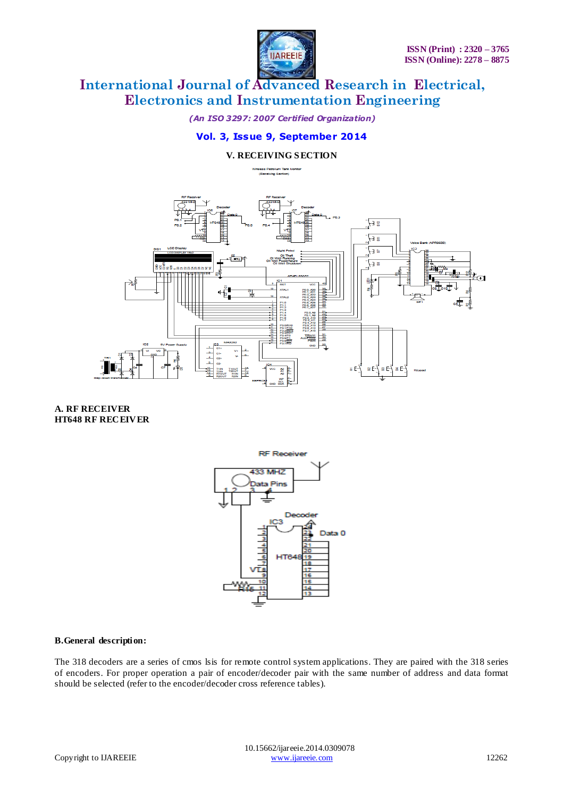

*(An ISO 3297: 2007 Certified Organization)*

# **Vol. 3, Issue 9, September 2014**

# **V. RECEIVING S ECTION**



**A. RF RECEIVER HT648 RF RECEIVER**



#### **B.General description:**

The 318 decoders are a series of cmos lsis for remote control system applications. They are paired with the 318 series of encoders. For proper operation a pair of encoder/decoder pair with the same number of address and data format should be selected (refer to the encoder/decoder cross reference tables).